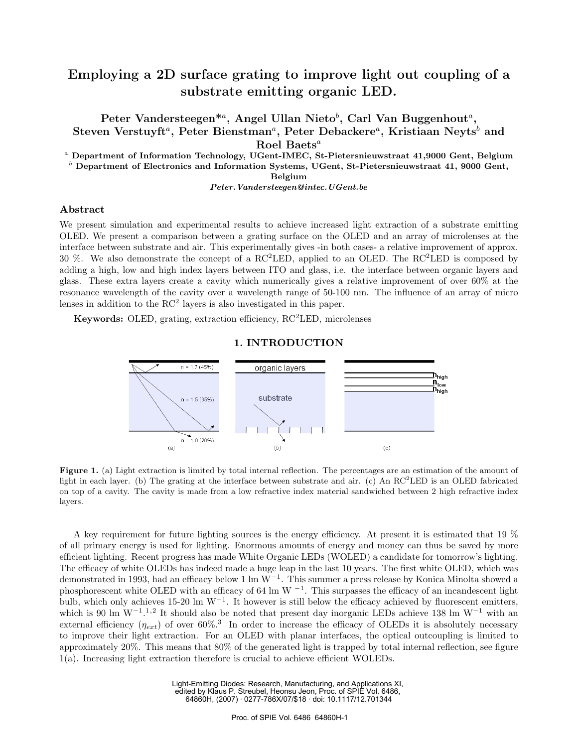# **Employing a 2D surface grating to improve light out coupling of a substrate emitting organic LED.**

**Peter Vandersteegen\***<sup>a</sup>**, Angel Ullan Nieto**<sup>b</sup> **, Carl Van Buggenhout**<sup>a</sup>**, Steven Verstuyft<sup>***a***</sup>, Peter Bienstman<sup>***a***</sup>, Peter Debackere<sup>***a***</sup>, Kristiaan Neyts<sup>***b***</sup> and Roel Baets**<sup>a</sup>

<sup>a</sup> **Department of Information Technology, UGent-IMEC, St-Pietersnieuwstraat 41,9000 Gent, Belgium**

<sup>b</sup> **Department of Electronics and Information Systems, UGent, St-Pietersnieuwstraat 41, 9000 Gent,**

**Belgium**

*Peter.Vandersteegen@intec.UGent.be*

### **Abstract**

We present simulation and experimental results to achieve increased light extraction of a substrate emitting OLED. We present a comparison between a grating surface on the OLED and an array of microlenses at the interface between substrate and air. This experimentally gives -in both cases- a relative improvement of approx. 30 %. We also demonstrate the concept of a  $\text{RC}^2\text{LED}$ , applied to an OLED. The RC<sup>2</sup>LED is composed by adding a high, low and high index layers between ITO and glass, i.e. the interface between organic layers and glass. These extra layers create a cavity which numerically gives a relative improvement of over 60% at the resonance wavelength of the cavity over a wavelength range of 50-100 nm. The influence of an array of micro lenses in addition to the  $RC<sup>2</sup>$  layers is also investigated in this paper.

**Keywords:** OLED, grating, extraction efficiency, RC<sup>2</sup>LED, microlenses

## $n = 1.7(45%)$  organic layers **I**n<sub>igh</sub>  $n_{\rm low}$  $\mathbf{p}_{\mathsf{high}}$ substrate  $n = 1.5(35%)$  $1.0(20\%)$ (a) (b) (c)

### **1. INTRODUCTION**

**Figure 1.** (a) Light extraction is limited by total internal reflection. The percentages are an estimation of the amount of light in each layer. (b) The grating at the interface between substrate and air. (c) An  $\text{RC}^2\text{LED}$  is an OLED fabricated on top of a cavity. The cavity is made from a low refractive index material sandwiched between 2 high refractive index layers.

A key requirement for future lighting sources is the energy efficiency. At present it is estimated that 19 % of all primary energy is used for lighting. Enormous amounts of energy and money can thus be saved by more efficient lighting. Recent progress has made White Organic LEDs (WOLED) a candidate for tomorrow's lighting. The efficacy of white OLEDs has indeed made a huge leap in the last 10 years. The first white OLED, which was demonstrated in 1993, had an efficacy below 1 lm  $W^{-1}$ . This summer a press release by Konica Minolta showed a phosphorescent white OLED with an efficacy of 64 lm W  $^{-1}$ . This surpasses the efficacy of an incandescent light bulb, which only achieves 15-20 lm  $W^{-1}$ . It however is still below the efficacy achieved by fluorescent emitters, which is 90 lm W<sup>-1</sup>.<sup>1,2</sup> It should also be noted that present day inorganic LEDs achieve 138 lm W<sup>-1</sup> with an external efficiency  $(\eta_{ext})$  of over 60%.<sup>3</sup> In order to increase the efficacy of OLEDs it is absolutely necessary to improve their light extraction. For an OLED with planar interfaces, the optical outcoupling is limited to approximately 20%. This means that 80% of the generated light is trapped by total internal reflection, see figure 1(a). Increasing light extraction therefore is crucial to achieve efficient WOLEDs.

> Light-Emitting Diodes: Research, Manufacturing, and Applications XI, edited by Klaus P. Streubel, Heonsu Jeon, Proc. of SPIE Vol. 6486, 64860H, (2007) · 0277-786X/07/\$18 · doi: 10.1117/12.701344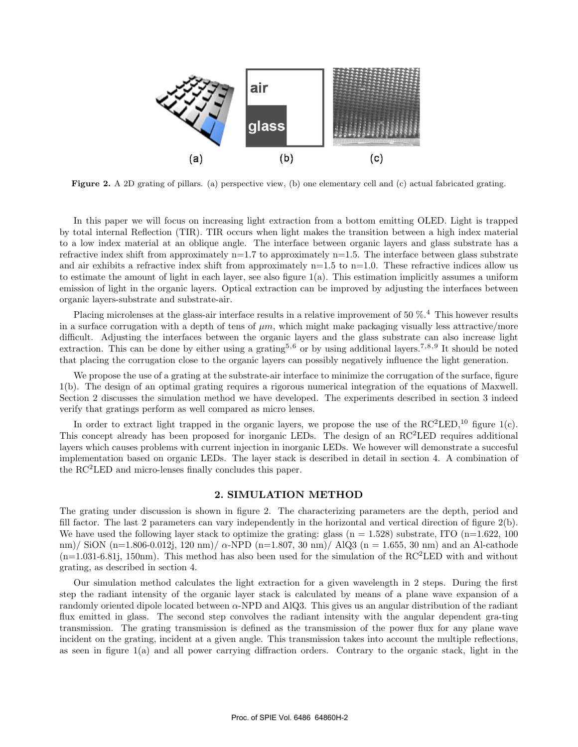

**Figure 2.** A 2D grating of pillars. (a) perspective view, (b) one elementary cell and (c) actual fabricated grating.

In this paper we will focus on increasing light extraction from a bottom emitting OLED. Light is trapped by total internal Reflection (TIR). TIR occurs when light makes the transition between a high index material to a low index material at an oblique angle. The interface between organic layers and glass substrate has a refractive index shift from approximately  $n=1.7$  to approximately  $n=1.5$ . The interface between glass substrate and air exhibits a refractive index shift from approximately  $n=1.5$  to  $n=1.0$ . These refractive indices allow us to estimate the amount of light in each layer, see also figure 1(a). This estimation implicitly assumes a uniform emission of light in the organic layers. Optical extraction can be improved by adjusting the interfaces between organic layers-substrate and substrate-air.

Placing microlenses at the glass-air interface results in a relative improvement of 50 %.<sup>4</sup> This however results in a surface corrugation with a depth of tens of  $\mu m$ , which might make packaging visually less attractive/more difficult. Adjusting the interfaces between the organic layers and the glass substrate can also increase light extraction. This can be done by either using a grating<sup>5,6</sup> or by using additional layers.<sup>7,8,9</sup> It should be noted that placing the corrugation close to the organic layers can possibly negatively influence the light generation.

We propose the use of a grating at the substrate-air interface to minimize the corrugation of the surface, figure 1(b). The design of an optimal grating requires a rigorous numerical integration of the equations of Maxwell. Section 2 discusses the simulation method we have developed. The experiments described in section 3 indeed verify that gratings perform as well compared as micro lenses.

In order to extract light trapped in the organic layers, we propose the use of the  $\text{RC}^2\text{LED}$ ,<sup>10</sup> figure 1(c). This concept already has been proposed for inorganic LEDs. The design of an RC<sup>2</sup>LED requires additional layers which causes problems with current injection in inorganic LEDs. We however will demonstrate a succesful implementation based on organic LEDs. The layer stack is described in detail in section 4. A combination of the RC<sup>2</sup>LED and micro-lenses finally concludes this paper.

### **2. SIMULATION METHOD**

The grating under discussion is shown in figure 2. The characterizing parameters are the depth, period and fill factor. The last 2 parameters can vary independently in the horizontal and vertical direction of figure 2(b). We have used the following layer stack to optimize the grating: glass  $(n = 1.528)$  substrate, ITO  $(n=1.622, 100)$ nm)/ SiON (n=1.806-0.012j, 120 nm)/  $\alpha$ -NPD (n=1.807, 30 nm)/ AlQ3 (n = 1.655, 30 nm) and an Al-cathode  $(n=1.031-6.81)$ , 150nm). This method has also been used for the simulation of the RC<sup>2</sup>LED with and without grating, as described in section 4.

Our simulation method calculates the light extraction for a given wavelength in 2 steps. During the first step the radiant intensity of the organic layer stack is calculated by means of a plane wave expansion of a randomly oriented dipole located between α-NPD and AlQ3. This gives us an angular distribution of the radiant flux emitted in glass. The second step convolves the radiant intensity with the angular dependent gra-ting transmission. The grating transmission is defined as the transmission of the power flux for any plane wave incident on the grating, incident at a given angle. This transmission takes into account the multiple reflections, as seen in figure 1(a) and all power carrying diffraction orders. Contrary to the organic stack, light in the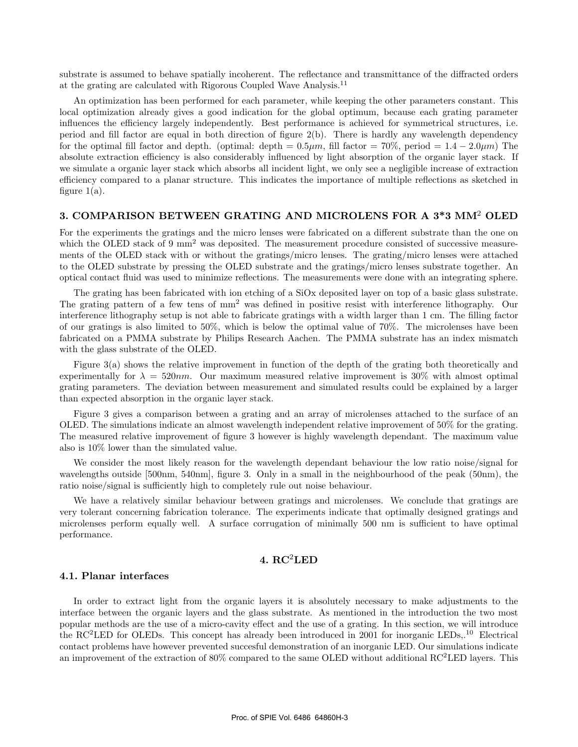substrate is assumed to behave spatially incoherent. The reflectance and transmittance of the diffracted orders at the grating are calculated with Rigorous Coupled Wave Analysis.<sup>11</sup>

An optimization has been performed for each parameter, while keeping the other parameters constant. This local optimization already gives a good indication for the global optimum, because each grating parameter influences the efficiency largely independently. Best performance is achieved for symmetrical structures, i.e. period and fill factor are equal in both direction of figure 2(b). There is hardly any wavelength dependency for the optimal fill factor and depth. (optimal: depth =  $0.5\mu m$ , fill factor =  $70\%$ , period =  $1.4 - 2.0\mu m$ ) The absolute extraction efficiency is also considerably influenced by light absorption of the organic layer stack. If we simulate a organic layer stack which absorbs all incident light, we only see a negligible increase of extraction efficiency compared to a planar structure. This indicates the importance of multiple reflections as sketched in figure  $1(a)$ .

### **3. COMPARISON BETWEEN GRATING AND MICROLENS FOR A 3\*3 MM**<sup>2</sup> **OLED**

For the experiments the gratings and the micro lenses were fabricated on a different substrate than the one on which the OLED stack of 9 mm<sup>2</sup> was deposited. The measurement procedure consisted of successive measurements of the OLED stack with or without the gratings/micro lenses. The grating/micro lenses were attached to the OLED substrate by pressing the OLED substrate and the gratings/micro lenses substrate together. An optical contact fluid was used to minimize reflections. The measurements were done with an integrating sphere.

The grating has been fabricated with ion etching of a SiOx deposited layer on top of a basic glass substrate. The grating pattern of a few tens of  $mm^2$  was defined in positive resist with interference lithography. Our interference lithography setup is not able to fabricate gratings with a width larger than 1 cm. The filling factor of our gratings is also limited to 50%, which is below the optimal value of 70%. The microlenses have been fabricated on a PMMA substrate by Philips Research Aachen. The PMMA substrate has an index mismatch with the glass substrate of the OLED.

Figure 3(a) shows the relative improvement in function of the depth of the grating both theoretically and experimentally for  $\lambda = 520nm$ . Our maximum measured relative improvement is 30% with almost optimal grating parameters. The deviation between measurement and simulated results could be explained by a larger than expected absorption in the organic layer stack.

Figure 3 gives a comparison between a grating and an array of microlenses attached to the surface of an OLED. The simulations indicate an almost wavelength independent relative improvement of 50% for the grating. The measured relative improvement of figure 3 however is highly wavelength dependant. The maximum value also is 10% lower than the simulated value.

We consider the most likely reason for the wavelength dependant behaviour the low ratio noise/signal for wavelengths outside [500nm, 540nm], figure 3. Only in a small in the neighbourhood of the peak (50nm), the ratio noise/signal is sufficiently high to completely rule out noise behaviour.

We have a relatively similar behaviour between gratings and microlenses. We conclude that gratings are very tolerant concerning fabrication tolerance. The experiments indicate that optimally designed gratings and microlenses perform equally well. A surface corrugation of minimally 500 nm is sufficient to have optimal performance.

### **4. RC**2**LED**

#### **4.1. Planar interfaces**

In order to extract light from the organic layers it is absolutely necessary to make adjustments to the interface between the organic layers and the glass substrate. As mentioned in the introduction the two most popular methods are the use of a micro-cavity effect and the use of a grating. In this section, we will introduce the  $RC<sup>2</sup>LED$  for OLEDs. This concept has already been introduced in 2001 for inorganic LEDs, <sup>10</sup> Electrical contact problems have however prevented succesful demonstration of an inorganic LED. Our simulations indicate an improvement of the extraction of  $80\%$  compared to the same OLED without additional RC<sup>2</sup>LED layers. This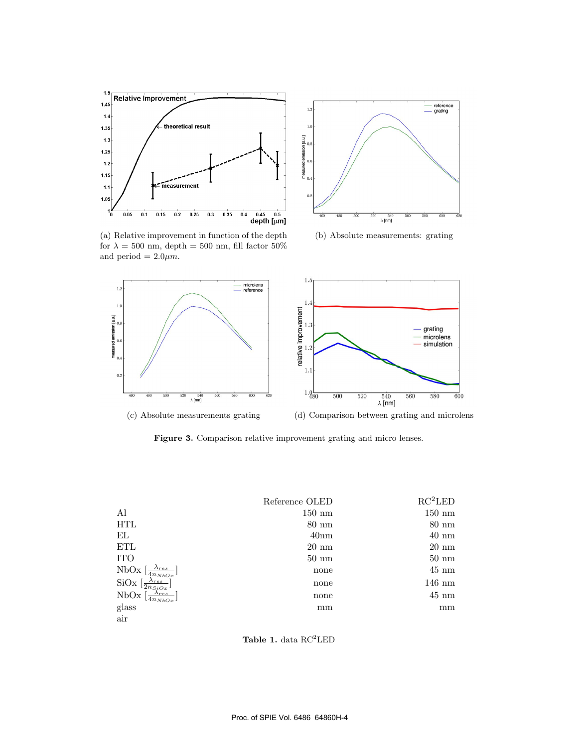



(b) Absolute measurements: grating

(a) Relative improvement in function of the depth for  $\lambda = 500$  nm, depth = 500 nm, fill factor 50% and period  $= 2.0 \mu m$ .



Figure 3. Comparison relative improvement grating and micro lenses.

|                                                                | Reference OLED   | RC <sup>2</sup> LED |
|----------------------------------------------------------------|------------------|---------------------|
| Al                                                             | $150 \text{ nm}$ | $150 \text{ nm}$    |
| <b>HTL</b>                                                     | $80 \text{ nm}$  | $80 \text{ nm}$     |
| ΕL                                                             | 40 <sub>nm</sub> | $40 \text{ nm}$     |
| ETL                                                            | $20 \text{ nm}$  | $20 \text{ nm}$     |
| <b>ITO</b>                                                     | $50 \text{ nm}$  | $50 \text{ nm}$     |
| NbOx<br>$\lambda_{res}$<br>$\sqrt{4n_{NbOx}}$                  | none             | $45 \text{ nm}$     |
| SiOx<br>$\lambda_{res}$<br>$\lfloor \overline{2n_{Si}}_{Ox}$ , | none             | $146 \text{ nm}$    |
| $\lambda_{res}$<br>NbOx<br>$4n_{NbOx}$                         | none             | $45 \text{ nm}$     |
| glass                                                          | mm               | mm                  |
| air                                                            |                  |                     |

Table 1. data RC<sup>2</sup>LED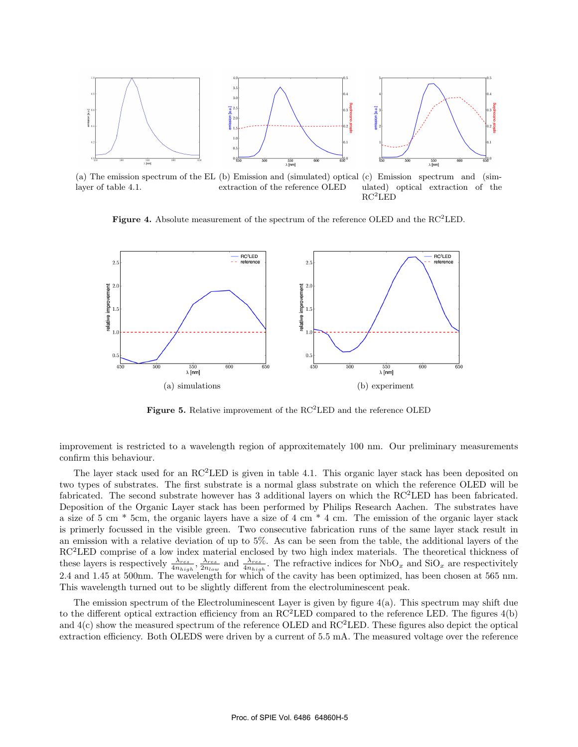

(a) The emission spectrum of the EL (b) Emission and (simulated) optical (c) Emission spectrum and (simlayer of table 4.1. extraction of the reference OLED ulated) optical extraction of the  $RC<sup>2</sup>LED$ 

**Figure 4.** Absolute measurement of the spectrum of the reference OLED and the RC<sup>2</sup>LED.



Figure 5. Relative improvement of the RC<sup>2</sup>LED and the reference OLED

improvement is restricted to a wavelength region of approxitemately 100 nm. Our preliminary measurements confirm this behaviour.

The layer stack used for an  $\rm RC<sup>2</sup>LED$  is given in table 4.1. This organic layer stack has been deposited on two types of substrates. The first substrate is a normal glass substrate on which the reference OLED will be fabricated. The second substrate however has 3 additional layers on which the RC<sup>2</sup>LED has been fabricated. Deposition of the Organic Layer stack has been performed by Philips Research Aachen. The substrates have a size of 5 cm \* 5cm, the organic layers have a size of 4 cm \* 4 cm. The emission of the organic layer stack is primerly focussed in the visible green. Two consecutive fabrication runs of the same layer stack result in an emission with a relative deviation of up to 5%. As can be seen from the table, the additional layers of the  $RC<sup>2</sup>LED$  comprise of a low index material enclosed by two high index materials. The theoretical thickness of these layers is respectively  $\frac{\lambda_{res}}{4n_{high}}$ ,  $\frac{\lambda_{res}}{2n_{low}}$  and  $\frac{\lambda_{res}}{4n_{high}}$ . The refractive indices for NbO<sub>x</sub> and SiO<sub>x</sub> are respectivitely 2.4 and 1.45 at 500nm. The wavelength for which of the cavity has been optimized, has been chosen at 565 nm. This wavelength turned out to be slightly different from the electroluminescent peak.

The emission spectrum of the Electroluminescent Layer is given by figure 4(a). This spectrum may shift due to the different optical extraction efficiency from an RC<sup>2</sup>LED compared to the reference LED. The figures 4(b) and  $4(c)$  show the measured spectrum of the reference OLED and  $RC<sup>2</sup>LED$ . These figures also depict the optical extraction efficiency. Both OLEDS were driven by a current of 5.5 mA. The measured voltage over the reference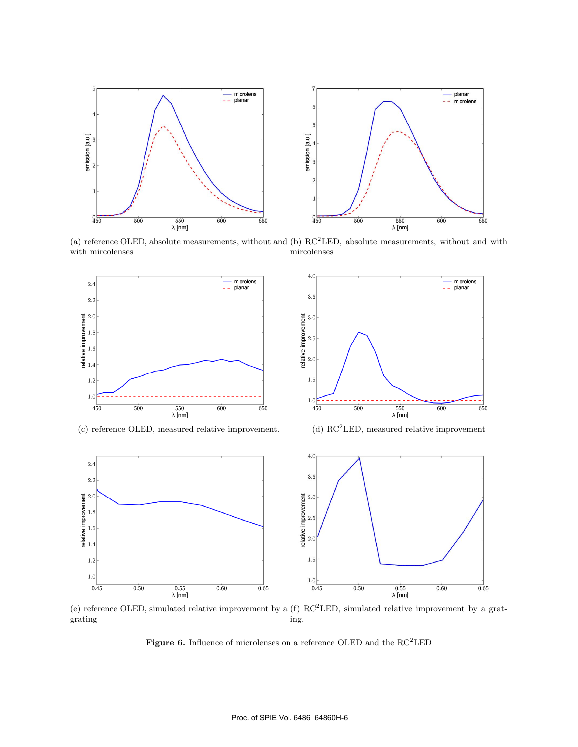



(a) reference OLED, absolute measurements, without and (b) RC<sup>2</sup>LED, absolute measurements, without and with with mircolenses mircolenses



(c) reference OLED, measured relative improvement. (d) RC<sup>2</sup>LED, measured relative improvement







(e) reference OLED, simulated relative improvement by a  $(f) RC<sup>2</sup>LED$ , simulated relative improvement by a gratgrating ing.

**Figure 6.** Influence of microlenses on a reference OLED and the  $\mathrm{RC}^2\mathrm{LED}$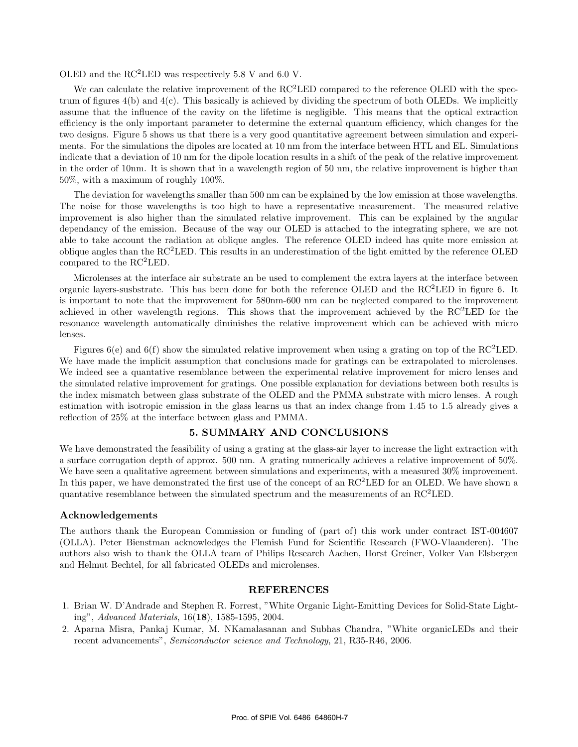OLED and the  $RC<sup>2</sup>LED$  was respectively 5.8 V and 6.0 V.

We can calculate the relative improvement of the  $RC<sup>2</sup>LED$  compared to the reference OLED with the spectrum of figures 4(b) and 4(c). This basically is achieved by dividing the spectrum of both OLEDs. We implicitly assume that the influence of the cavity on the lifetime is negligible. This means that the optical extraction efficiency is the only important parameter to determine the external quantum efficiency, which changes for the two designs. Figure 5 shows us that there is a very good quantitative agreement between simulation and experiments. For the simulations the dipoles are located at 10 nm from the interface between HTL and EL. Simulations indicate that a deviation of 10 nm for the dipole location results in a shift of the peak of the relative improvement in the order of 10nm. It is shown that in a wavelength region of 50 nm, the relative improvement is higher than 50%, with a maximum of roughly 100%.

The deviation for wavelengths smaller than 500 nm can be explained by the low emission at those wavelengths. The noise for those wavelengths is too high to have a representative measurement. The measured relative improvement is also higher than the simulated relative improvement. This can be explained by the angular dependancy of the emission. Because of the way our OLED is attached to the integrating sphere, we are not able to take account the radiation at oblique angles. The reference OLED indeed has quite more emission at oblique angles than the  $RC<sup>2</sup>LED$ . This results in an underestimation of the light emitted by the reference OLED compared to the  $RC<sup>2</sup>LED$ .

Microlenses at the interface air substrate an be used to complement the extra layers at the interface between organic layers-susbstrate. This has been done for both the reference OLED and the  $RC<sup>2</sup>LED$  in figure 6. It is important to note that the improvement for 580nm-600 nm can be neglected compared to the improvement achieved in other wavelength regions. This shows that the improvement achieved by the RC<sup>2</sup>LED for the resonance wavelength automatically diminishes the relative improvement which can be achieved with micro lenses.

Figures  $6(e)$  and  $6(f)$  show the simulated relative improvement when using a grating on top of the RC<sup>2</sup>LED. We have made the implicit assumption that conclusions made for gratings can be extrapolated to microlenses. We indeed see a quantative resemblance between the experimental relative improvement for micro lenses and the simulated relative improvement for gratings. One possible explanation for deviations between both results is the index mismatch between glass substrate of the OLED and the PMMA substrate with micro lenses. A rough estimation with isotropic emission in the glass learns us that an index change from 1.45 to 1.5 already gives a reflection of 25% at the interface between glass and PMMA.

#### **5. SUMMARY AND CONCLUSIONS**

We have demonstrated the feasibility of using a grating at the glass-air layer to increase the light extraction with a surface corrugation depth of approx. 500 nm. A grating numerically achieves a relative improvement of 50%. We have seen a qualitative agreement between simulations and experiments, with a measured  $30\%$  improvement. In this paper, we have demonstrated the first use of the concept of an RC<sup>2</sup>LED for an OLED. We have shown a quantative resemblance between the simulated spectrum and the measurements of an RC<sup>2</sup>LED.

#### **Acknowledgements**

The authors thank the European Commission or funding of (part of) this work under contract IST-004607 (OLLA). Peter Bienstman acknowledges the Flemish Fund for Scientific Research (FWO-Vlaanderen). The authors also wish to thank the OLLA team of Philips Research Aachen, Horst Greiner, Volker Van Elsbergen and Helmut Bechtel, for all fabricated OLEDs and microlenses.

#### **REFERENCES**

- 1. Brian W. D'Andrade and Stephen R. Forrest, "White Organic Light-Emitting Devices for Solid-State Lighting", Advanced Materials, 16(**18**), 1585-1595, 2004.
- 2. Aparna Misra, Pankaj Kumar, M. NKamalasanan and Subhas Chandra, "White organicLEDs and their recent advancements", Semiconductor science and Technology, 21, R35-R46, 2006.